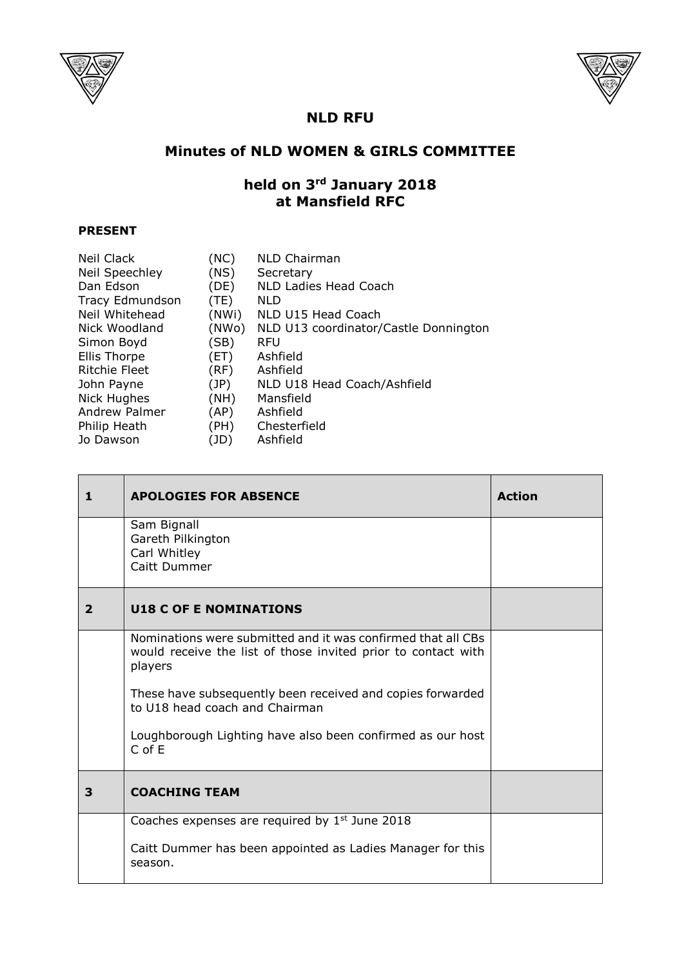



## **NLD RFU**

## **Minutes of NLD WOMEN & GIRLS COMMITTEE**

## **held on 3rd January 2018 at Mansfield RFC**

## **PRESENT**

| Neil Clack      | (NC)  | <b>NLD Chairman</b>                   |
|-----------------|-------|---------------------------------------|
| Neil Speechley  | (NS)  | Secretary                             |
| Dan Edson       | (DE)  | NLD Ladies Head Coach                 |
| Tracy Edmundson | (TE)  | <b>NLD</b>                            |
| Neil Whitehead  | (NWi) | NLD U15 Head Coach                    |
| Nick Woodland   | (NWo) | NLD U13 coordinator/Castle Donnington |
| Simon Boyd      | (SB)  | <b>RFU</b>                            |
| Ellis Thorpe    | (ET)  | Ashfield                              |
| Ritchie Fleet   | (RF)  | Ashfield                              |
| John Payne      | (JP)  | NLD U18 Head Coach/Ashfield           |
| Nick Hughes     | (NH)  | Mansfield                             |
| Andrew Palmer   | (AP)  | Ashfield                              |
| Philip Heath    | (PH)  | Chesterfield                          |
| Jo Dawson       | (JD)  | Ashfield                              |

| 1            | <b>APOLOGIES FOR ABSENCE</b>                                                                                                             | <b>Action</b> |
|--------------|------------------------------------------------------------------------------------------------------------------------------------------|---------------|
|              | Sam Bignall<br>Gareth Pilkington<br>Carl Whitley<br>Caitt Dummer                                                                         |               |
| $\mathbf{2}$ | <b>U18 C OF E NOMINATIONS</b>                                                                                                            |               |
|              | Nominations were submitted and it was confirmed that all CBs<br>would receive the list of those invited prior to contact with<br>players |               |
|              | These have subsequently been received and copies forwarded<br>to U18 head coach and Chairman                                             |               |
|              | Loughborough Lighting have also been confirmed as our host<br>$C$ of $E$                                                                 |               |
| 3            | <b>COACHING TEAM</b>                                                                                                                     |               |
|              | Coaches expenses are required by $1st$ June 2018                                                                                         |               |
|              | Caitt Dummer has been appointed as Ladies Manager for this<br>season.                                                                    |               |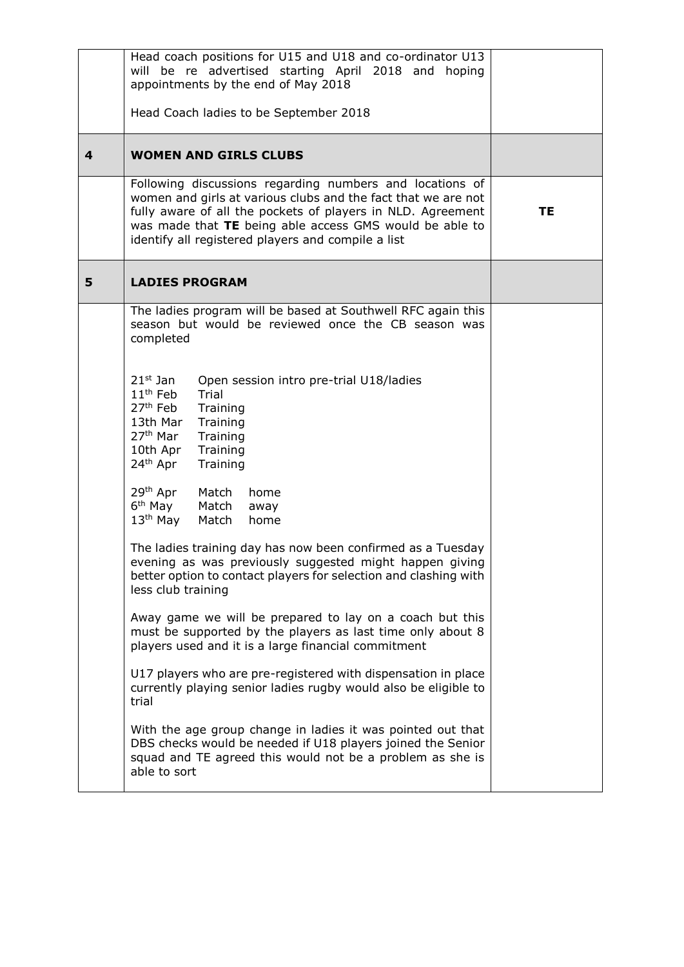|   | Head coach positions for U15 and U18 and co-ordinator U13<br>will be re advertised starting April 2018 and hoping<br>appointments by the end of May 2018<br>Head Coach ladies to be September 2018                                                                                                                                                                                                                                                                                                                                                                                                                                                                                                                                                                                                                                                                                                                                                                                                                                                                                                                                                                                                                                                        |           |
|---|-----------------------------------------------------------------------------------------------------------------------------------------------------------------------------------------------------------------------------------------------------------------------------------------------------------------------------------------------------------------------------------------------------------------------------------------------------------------------------------------------------------------------------------------------------------------------------------------------------------------------------------------------------------------------------------------------------------------------------------------------------------------------------------------------------------------------------------------------------------------------------------------------------------------------------------------------------------------------------------------------------------------------------------------------------------------------------------------------------------------------------------------------------------------------------------------------------------------------------------------------------------|-----------|
| 4 | <b>WOMEN AND GIRLS CLUBS</b>                                                                                                                                                                                                                                                                                                                                                                                                                                                                                                                                                                                                                                                                                                                                                                                                                                                                                                                                                                                                                                                                                                                                                                                                                              |           |
|   | Following discussions regarding numbers and locations of<br>women and girls at various clubs and the fact that we are not<br>fully aware of all the pockets of players in NLD. Agreement<br>was made that TE being able access GMS would be able to<br>identify all registered players and compile a list                                                                                                                                                                                                                                                                                                                                                                                                                                                                                                                                                                                                                                                                                                                                                                                                                                                                                                                                                 | <b>TE</b> |
| 5 | <b>LADIES PROGRAM</b>                                                                                                                                                                                                                                                                                                                                                                                                                                                                                                                                                                                                                                                                                                                                                                                                                                                                                                                                                                                                                                                                                                                                                                                                                                     |           |
|   | The ladies program will be based at Southwell RFC again this<br>season but would be reviewed once the CB season was<br>completed<br>$21st$ Jan<br>Open session intro pre-trial U18/ladies<br>$11th$ Feb<br>Trial<br>27 <sup>th</sup> Feb<br>Training<br>13th Mar<br>Training<br>27 <sup>th</sup> Mar<br>Training<br>10th Apr<br>Training<br>24 <sup>th</sup> Apr<br>Training<br>29 <sup>th</sup> Apr<br>Match<br>home<br>6 <sup>th</sup> May<br>Match<br>away<br>$13th$ May<br>Match<br>home<br>The ladies training day has now been confirmed as a Tuesday<br>evening as was previously suggested might happen giving<br>better option to contact players for selection and clashing with<br>less club training<br>Away game we will be prepared to lay on a coach but this<br>must be supported by the players as last time only about 8<br>players used and it is a large financial commitment<br>U17 players who are pre-registered with dispensation in place<br>currently playing senior ladies rugby would also be eligible to<br>trial<br>With the age group change in ladies it was pointed out that<br>DBS checks would be needed if U18 players joined the Senior<br>squad and TE agreed this would not be a problem as she is<br>able to sort |           |